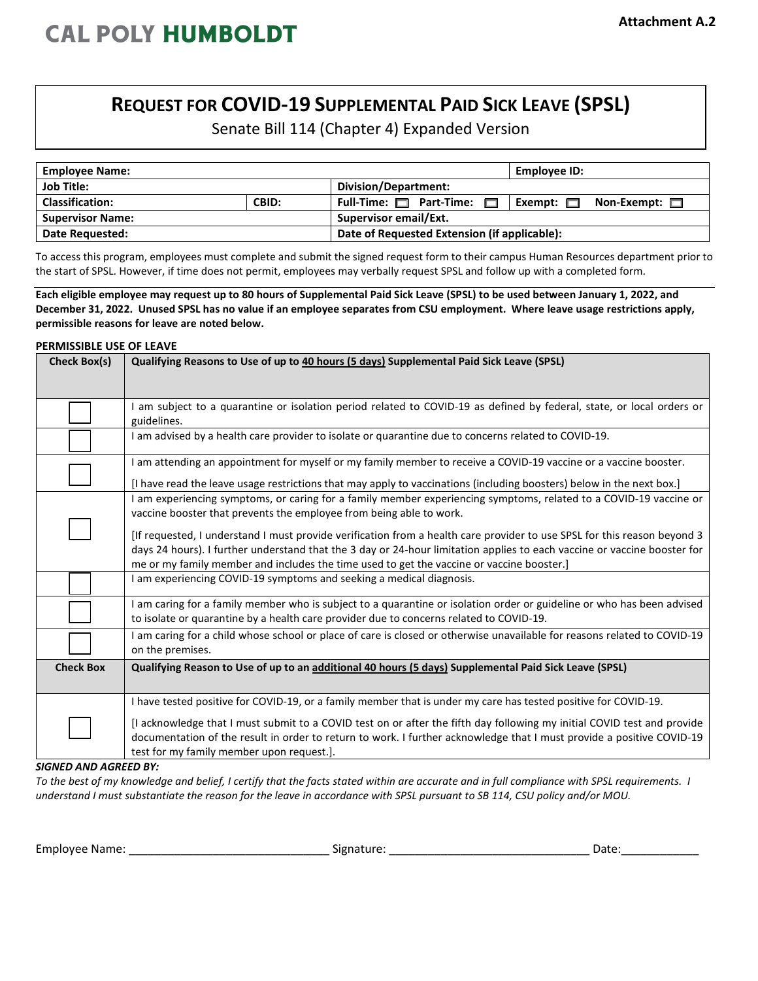## **REQUEST FOR COVID-19 SUPPLEMENTAL PAID SICK LEAVE (SPSL)**

Senate Bill 114 (Chapter 4) Expanded Version

| <b>Employee Name:</b>   |       |                                              | Employee ID:                         |  |
|-------------------------|-------|----------------------------------------------|--------------------------------------|--|
| <b>Job Title:</b>       |       | Division/Department:                         |                                      |  |
| <b>Classification:</b>  | CBID: | Full-Time: <b>Depart-Time:</b>               | Non-Exempt: $\Box$<br>Exempt: $\Box$ |  |
| <b>Supervisor Name:</b> |       | Supervisor email/Ext.                        |                                      |  |
| <b>Date Requested:</b>  |       | Date of Requested Extension (if applicable): |                                      |  |

To access this program, employees must complete and submit the signed request form to their campus Human Resources department prior to the start of SPSL. However, if time does not permit, employees may verbally request SPSL and follow up with a completed form.

**Each eligible employee may request up to 80 hours of Supplemental Paid Sick Leave (SPSL) to be used between January 1, 2022, and December 31, 2022. Unused SPSL has no value if an employee separates from CSU employment. Where leave usage restrictions apply, permissible reasons for leave are noted below.** 

## **PERMISSIBLE USE OF LEAVE Check Box(s) Qualifying Reasons to Use of up to 40 hours (5 days) Supplemental Paid Sick Leave (SPSL)** I am subject to a quarantine or isolation period related to COVID-19 as defined by federal, state, or local orders or guidelines. I am advised by a health care provider to isolate or quarantine due to concerns related to COVID-19. I am attending an appointment for myself or my family member to receive a COVID-19 vaccine or a vaccine booster. [I have read the leave usage restrictions that may apply to vaccinations (including boosters) below in the next box.] I am experiencing symptoms, or caring for a family member experiencing symptoms, related to a COVID-19 vaccine or vaccine booster that prevents the employee from being able to work. [If requested, I understand I must provide verification from a health care provider to use SPSL for this reason beyond 3 days 24 hours). I further understand that the 3 day or 24-hour limitation applies to each vaccine or vaccine booster for me or my family member and includes the time used to get the vaccine or vaccine booster.] I am experiencing COVID-19 symptoms and seeking a medical diagnosis. I am caring for a family member who is subject to a quarantine or isolation order or guideline or who has been advised to isolate or quarantine by a health care provider due to concerns related to COVID-19. I am caring for a child whose school or place of care is closed or otherwise unavailable for reasons related to COVID-19 on the premises. **Check Box Qualifying Reason to Use of up to an additional 40 hours (5 days) Supplemental Paid Sick Leave (SPSL)** I have tested positive for COVID-19, or a family member that is under my care has tested positive for COVID-19. [I acknowledge that I must submit to a COVID test on or after the fifth day following my initial COVID test and provide documentation of the result in order to return to work. I further acknowledge that I must provide a positive COVID-19 test for my family member upon request.].

*SIGNED AND AGREED BY:* 

*To the best of my knowledge and belief, I certify that the facts stated within are accurate and in full compliance with SPSL requirements. I understand I must substantiate the reason for the leave in accordance with SPSL pursuant to SB 114, CSU policy and/or MOU.* 

Employee Name: \_\_\_\_\_\_\_\_\_\_\_\_\_\_\_\_\_\_\_\_\_\_\_\_\_\_\_\_\_\_\_ Signature: \_\_\_\_\_\_\_\_\_\_\_\_\_\_\_\_\_\_\_\_\_\_\_\_\_\_\_\_\_\_\_ Date:\_\_\_\_\_\_\_\_\_\_\_\_